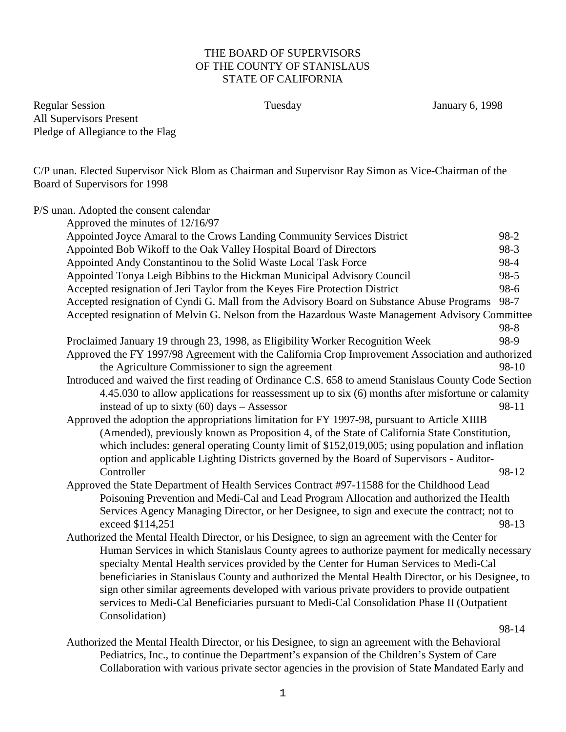## THE BOARD OF SUPERVISORS OF THE COUNTY OF STANISLAUS STATE OF CALIFORNIA

Regular Session Tuesday January 6, 1998 All Supervisors Present Pledge of Allegiance to the Flag

C/P unan. Elected Supervisor Nick Blom as Chairman and Supervisor Ray Simon as Vice-Chairman of the Board of Supervisors for 1998

| P/S unan. Adopted the consent calendar                                                                                                                                                                                                                                                                                                        |          |
|-----------------------------------------------------------------------------------------------------------------------------------------------------------------------------------------------------------------------------------------------------------------------------------------------------------------------------------------------|----------|
| Approved the minutes of 12/16/97                                                                                                                                                                                                                                                                                                              |          |
| Appointed Joyce Amaral to the Crows Landing Community Services District                                                                                                                                                                                                                                                                       | 98-2     |
| Appointed Bob Wikoff to the Oak Valley Hospital Board of Directors                                                                                                                                                                                                                                                                            | 98-3     |
| Appointed Andy Constantinou to the Solid Waste Local Task Force                                                                                                                                                                                                                                                                               | 98-4     |
| Appointed Tonya Leigh Bibbins to the Hickman Municipal Advisory Council                                                                                                                                                                                                                                                                       | $98 - 5$ |
| Accepted resignation of Jeri Taylor from the Keyes Fire Protection District                                                                                                                                                                                                                                                                   | 98-6     |
| Accepted resignation of Cyndi G. Mall from the Advisory Board on Substance Abuse Programs                                                                                                                                                                                                                                                     | 98-7     |
| Accepted resignation of Melvin G. Nelson from the Hazardous Waste Management Advisory Committee                                                                                                                                                                                                                                               |          |
|                                                                                                                                                                                                                                                                                                                                               | 98-8     |
| Proclaimed January 19 through 23, 1998, as Eligibility Worker Recognition Week                                                                                                                                                                                                                                                                | 98-9     |
| Approved the FY 1997/98 Agreement with the California Crop Improvement Association and authorized                                                                                                                                                                                                                                             |          |
| the Agriculture Commissioner to sign the agreement                                                                                                                                                                                                                                                                                            | 98-10    |
| Introduced and waived the first reading of Ordinance C.S. 658 to amend Stanislaus County Code Section                                                                                                                                                                                                                                         |          |
| 4.45.030 to allow applications for reassessment up to six (6) months after misfortune or calamity                                                                                                                                                                                                                                             |          |
| instead of up to sixty $(60)$ days – Assessor                                                                                                                                                                                                                                                                                                 | 98-11    |
| Approved the adoption the appropriations limitation for FY 1997-98, pursuant to Article XIIIB                                                                                                                                                                                                                                                 |          |
| (Amended), previously known as Proposition 4, of the State of California State Constitution,                                                                                                                                                                                                                                                  |          |
| which includes: general operating County limit of \$152,019,005; using population and inflation                                                                                                                                                                                                                                               |          |
| option and applicable Lighting Districts governed by the Board of Supervisors - Auditor-                                                                                                                                                                                                                                                      |          |
| Controller                                                                                                                                                                                                                                                                                                                                    | 98-12    |
| Approved the State Department of Health Services Contract #97-11588 for the Childhood Lead                                                                                                                                                                                                                                                    |          |
| Poisoning Prevention and Medi-Cal and Lead Program Allocation and authorized the Health                                                                                                                                                                                                                                                       |          |
| Services Agency Managing Director, or her Designee, to sign and execute the contract; not to                                                                                                                                                                                                                                                  |          |
| exceed \$114,251                                                                                                                                                                                                                                                                                                                              | 98-13    |
| Authorized the Mental Health Director, or his Designee, to sign an agreement with the Center for                                                                                                                                                                                                                                              |          |
| Human Services in which Stanislaus County agrees to authorize payment for medically necessary                                                                                                                                                                                                                                                 |          |
| specialty Mental Health services provided by the Center for Human Services to Medi-Cal                                                                                                                                                                                                                                                        |          |
| beneficiaries in Stanislaus County and authorized the Mental Health Director, or his Designee, to                                                                                                                                                                                                                                             |          |
| sign other similar agreements developed with various private providers to provide outpatient                                                                                                                                                                                                                                                  |          |
| services to Medi-Cal Beneficiaries pursuant to Medi-Cal Consolidation Phase II (Outpatient                                                                                                                                                                                                                                                    |          |
| Consolidation)                                                                                                                                                                                                                                                                                                                                |          |
| $\mathbf{1}$ and $\mathbf{1}$ and $\mathbf{1}$ and $\mathbf{1}$ and $\mathbf{1}$ and $\mathbf{1}$ and $\mathbf{1}$ and $\mathbf{1}$ and $\mathbf{1}$ and $\mathbf{1}$ and $\mathbf{1}$ and $\mathbf{1}$ and $\mathbf{1}$ and $\mathbf{1}$ and $\mathbf{1}$ and $\mathbf{1}$ and $\mathbf{1}$ and<br>$\cdots$<br>$\mathbf{r}$ and $\mathbf{r}$ | 98-14    |

Authorized the Mental Health Director, or his Designee, to sign an agreement with the Behavioral Pediatrics, Inc., to continue the Department's expansion of the Children's System of Care Collaboration with various private sector agencies in the provision of State Mandated Early and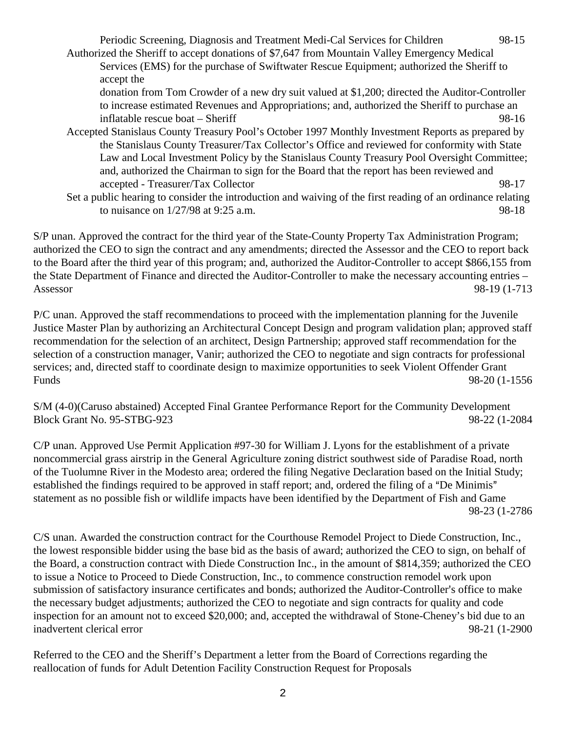Periodic Screening, Diagnosis and Treatment Medi-Cal Services for Children 98-15 Authorized the Sheriff to accept donations of \$7,647 from Mountain Valley Emergency Medical Services (EMS) for the purchase of Swiftwater Rescue Equipment; authorized the Sheriff to accept the donation from Tom Crowder of a new dry suit valued at \$1,200; directed the Auditor-Controller to increase estimated Revenues and Appropriations; and, authorized the Sheriff to purchase an inflatable rescue boat – Sheriff 98-16 Accepted Stanislaus County Treasury Pool's October 1997 Monthly Investment Reports as prepared by the Stanislaus County Treasurer/Tax Collector's Office and reviewed for conformity with State

Law and Local Investment Policy by the Stanislaus County Treasury Pool Oversight Committee; and, authorized the Chairman to sign for the Board that the report has been reviewed and accepted - Treasurer/Tax Collector 98-17 Set a public hearing to consider the introduction and waiving of the first reading of an ordinance relating to nuisance on  $1/27/98$  at 9:25 a.m. 98-18

S/P unan. Approved the contract for the third year of the State-County Property Tax Administration Program; authorized the CEO to sign the contract and any amendments; directed the Assessor and the CEO to report back to the Board after the third year of this program; and, authorized the Auditor-Controller to accept \$866,155 from the State Department of Finance and directed the Auditor-Controller to make the necessary accounting entries – Assessor 98-19 (1-713

P/C unan. Approved the staff recommendations to proceed with the implementation planning for the Juvenile Justice Master Plan by authorizing an Architectural Concept Design and program validation plan; approved staff recommendation for the selection of an architect, Design Partnership; approved staff recommendation for the selection of a construction manager, Vanir; authorized the CEO to negotiate and sign contracts for professional services; and, directed staff to coordinate design to maximize opportunities to seek Violent Offender Grant Funds 98-20 (1-1556

S/M (4-0)(Caruso abstained) Accepted Final Grantee Performance Report for the Community Development Block Grant No. 95-STBG-923 98-22 (1-2084

C/P unan. Approved Use Permit Application #97-30 for William J. Lyons for the establishment of a private noncommercial grass airstrip in the General Agriculture zoning district southwest side of Paradise Road, north of the Tuolumne River in the Modesto area; ordered the filing Negative Declaration based on the Initial Study; established the findings required to be approved in staff report; and, ordered the filing of a "De Minimis" statement as no possible fish or wildlife impacts have been identified by the Department of Fish and Game 98-23 (1-2786

C/S unan. Awarded the construction contract for the Courthouse Remodel Project to Diede Construction, Inc., the lowest responsible bidder using the base bid as the basis of award; authorized the CEO to sign, on behalf of the Board, a construction contract with Diede Construction Inc., in the amount of \$814,359; authorized the CEO to issue a Notice to Proceed to Diede Construction, Inc., to commence construction remodel work upon submission of satisfactory insurance certificates and bonds; authorized the Auditor-Controller's office to make the necessary budget adjustments; authorized the CEO to negotiate and sign contracts for quality and code inspection for an amount not to exceed \$20,000; and, accepted the withdrawal of Stone-Cheney's bid due to an inadvertent clerical error 98-21 (1-2900

Referred to the CEO and the Sheriff's Department a letter from the Board of Corrections regarding the reallocation of funds for Adult Detention Facility Construction Request for Proposals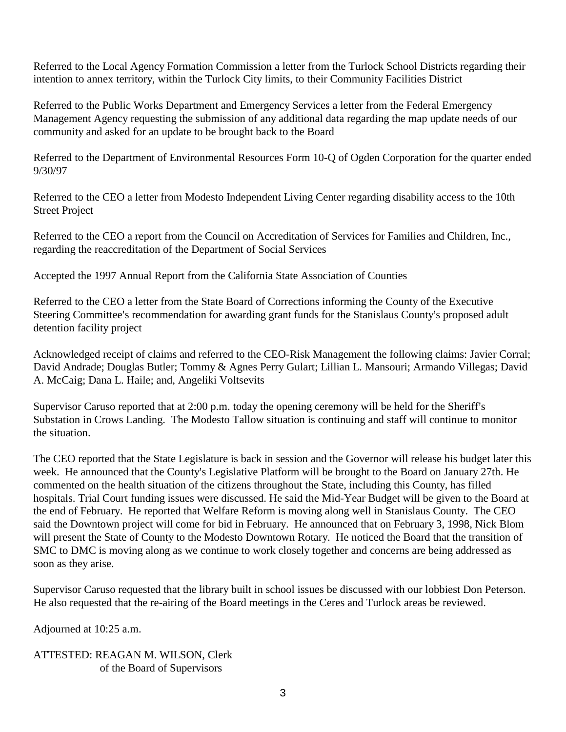Referred to the Local Agency Formation Commission a letter from the Turlock School Districts regarding their intention to annex territory, within the Turlock City limits, to their Community Facilities District

Referred to the Public Works Department and Emergency Services a letter from the Federal Emergency Management Agency requesting the submission of any additional data regarding the map update needs of our community and asked for an update to be brought back to the Board

Referred to the Department of Environmental Resources Form 10-Q of Ogden Corporation for the quarter ended 9/30/97

Referred to the CEO a letter from Modesto Independent Living Center regarding disability access to the 10th Street Project

Referred to the CEO a report from the Council on Accreditation of Services for Families and Children, Inc., regarding the reaccreditation of the Department of Social Services

Accepted the 1997 Annual Report from the California State Association of Counties

Referred to the CEO a letter from the State Board of Corrections informing the County of the Executive Steering Committee's recommendation for awarding grant funds for the Stanislaus County's proposed adult detention facility project

Acknowledged receipt of claims and referred to the CEO-Risk Management the following claims: Javier Corral; David Andrade; Douglas Butler; Tommy & Agnes Perry Gulart; Lillian L. Mansouri; Armando Villegas; David A. McCaig; Dana L. Haile; and, Angeliki Voltsevits

Supervisor Caruso reported that at 2:00 p.m. today the opening ceremony will be held for the Sheriff's Substation in Crows Landing. The Modesto Tallow situation is continuing and staff will continue to monitor the situation.

The CEO reported that the State Legislature is back in session and the Governor will release his budget later this week. He announced that the County's Legislative Platform will be brought to the Board on January 27th. He commented on the health situation of the citizens throughout the State, including this County, has filled hospitals. Trial Court funding issues were discussed. He said the Mid-Year Budget will be given to the Board at the end of February. He reported that Welfare Reform is moving along well in Stanislaus County. The CEO said the Downtown project will come for bid in February. He announced that on February 3, 1998, Nick Blom will present the State of County to the Modesto Downtown Rotary. He noticed the Board that the transition of SMC to DMC is moving along as we continue to work closely together and concerns are being addressed as soon as they arise.

Supervisor Caruso requested that the library built in school issues be discussed with our lobbiest Don Peterson. He also requested that the re-airing of the Board meetings in the Ceres and Turlock areas be reviewed.

Adjourned at 10:25 a.m.

ATTESTED: REAGAN M. WILSON, Clerk of the Board of Supervisors